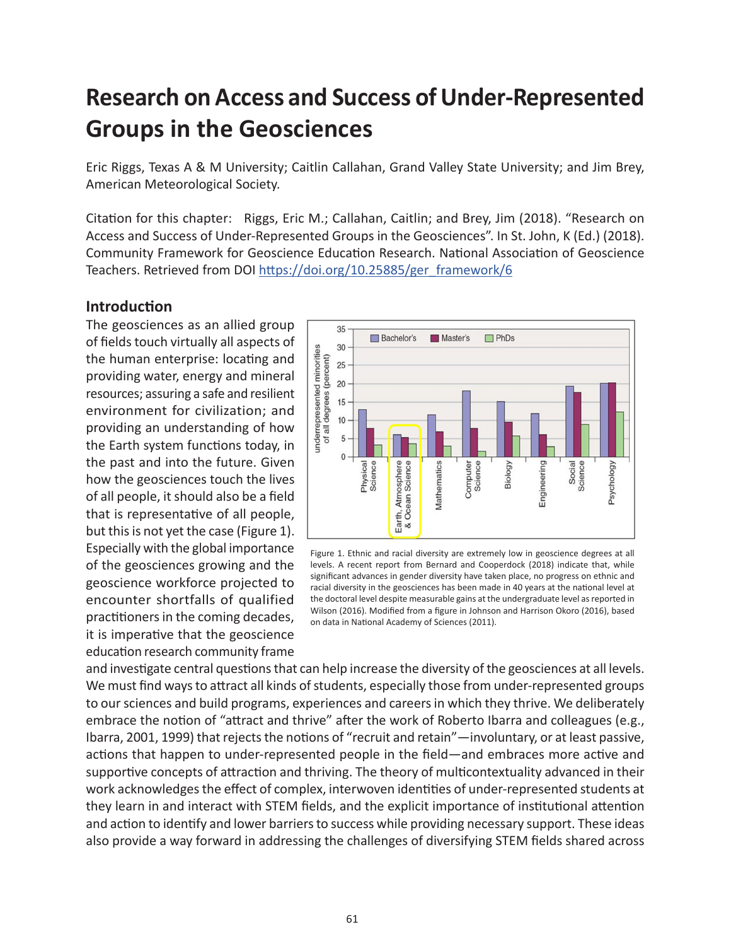# **Research on Access and Success of Under-Represented Groups in the Geosciences**

Eric Riggs, Texas A & M University; Caitlin Callahan, Grand Valley State University; and Jim Brey, American Meteorological Society.

Citation for this chapter: Riggs, Eric M.; Callahan, Caitlin; and Brey, Jim (2018). "Research on Access and Success of Under-Represented Groups in the Geosciences". In St. John, K (Ed.) (2018). Community Framework for Geoscience Education Research. National Association of Geoscience Teachers. Retrieved from DOI [https://doi.org/10.25885/ger\\_framework/6](https://doi.org/10.25885/ger_framework/6)

#### **Introduction**

The geosciences as an allied group of fields touch virtually all aspects of the human enterprise: locating and providing water, energy and mineral resources; assuring a safe and resilient environment for civilization; and providing an understanding of how the Earth system functions today, in the past and into the future. Given how the geosciences touch the lives of all people, it should also be a field that is representative of all people, but this is not yet the case (Figure 1). Especially with the global importance of the geosciences growing and the geoscience workforce projected to encounter shortfalls of qualified practitioners in the coming decades, it is imperative that the geoscience education research community frame



Figure 1. Ethnic and racial diversity are extremely low in geoscience degrees at all levels. A recent report from Bernard and Cooperdock (2018) indicate that, while significant advances in gender diversity have taken place, no progress on ethnic and racial diversity in the geosciences has been made in 40 years at the national level at the doctoral level despite measurable gains at the undergraduate level as reported in Wilson (2016). Modified from a figure in Johnson and Harrison Okoro (2016), based on data in National Academy of Sciences (2011).

and investigate central questions that can help increase the diversity of the geosciences at all levels. We must find ways to attract all kinds of students, especially those from under-represented groups to our sciences and build programs, experiences and careers in which they thrive. We deliberately embrace the notion of "attract and thrive" after the work of Roberto Ibarra and colleagues (e.g., Ibarra, 2001, 1999) that rejects the notions of "recruit and retain"—involuntary, or at least passive, actions that happen to under-represented people in the field—and embraces more active and supportive concepts of attraction and thriving. The theory of multicontextuality advanced in their work acknowledges the effect of complex, interwoven identities of under-represented students at they learn in and interact with STEM fields, and the explicit importance of institutional attention and action to identify and lower barriers to success while providing necessary support. These ideas also provide a way forward in addressing the challenges of diversifying STEM fields shared across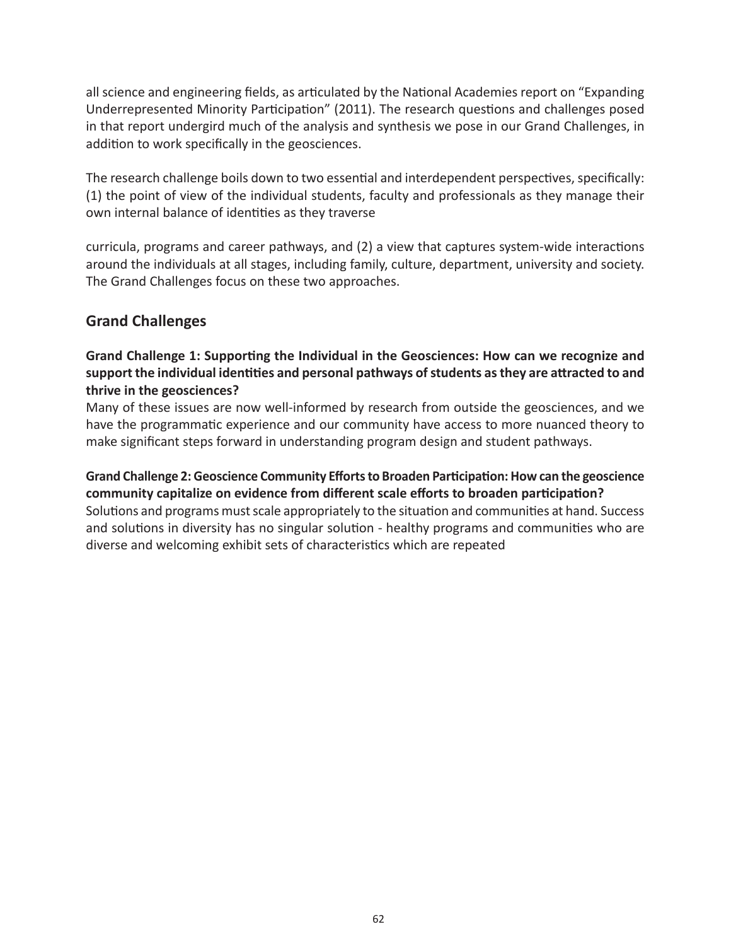all science and engineering fields, as articulated by the National Academies report on "Expanding Underrepresented Minority Participation" (2011). The research questions and challenges posed in that report undergird much of the analysis and synthesis we pose in our Grand Challenges, in addition to work specifically in the geosciences.

The research challenge boils down to two essential and interdependent perspectives, specifically: (1) the point of view of the individual students, faculty and professionals as they manage their own internal balance of identities as they traverse

curricula, programs and career pathways, and (2) a view that captures system-wide interactions around the individuals at all stages, including family, culture, department, university and society. The Grand Challenges focus on these two approaches.

### **Grand Challenges**

### **Grand Challenge 1: Supporting the Individual in the Geosciences: How can we recognize and support the individual identities and personal pathways of students as they are attracted to and thrive in the geosciences?**

Many of these issues are now well-informed by research from outside the geosciences, and we have the programmatic experience and our community have access to more nuanced theory to make significant steps forward in understanding program design and student pathways.

**Grand Challenge 2: Geoscience Community Efforts to Broaden Participation: How can the geoscience community capitalize on evidence from different scale efforts to broaden participation?** Solutions and programs must scale appropriately to the situation and communities at hand. Success and solutions in diversity has no singular solution - healthy programs and communities who are diverse and welcoming exhibit sets of characteristics which are repeated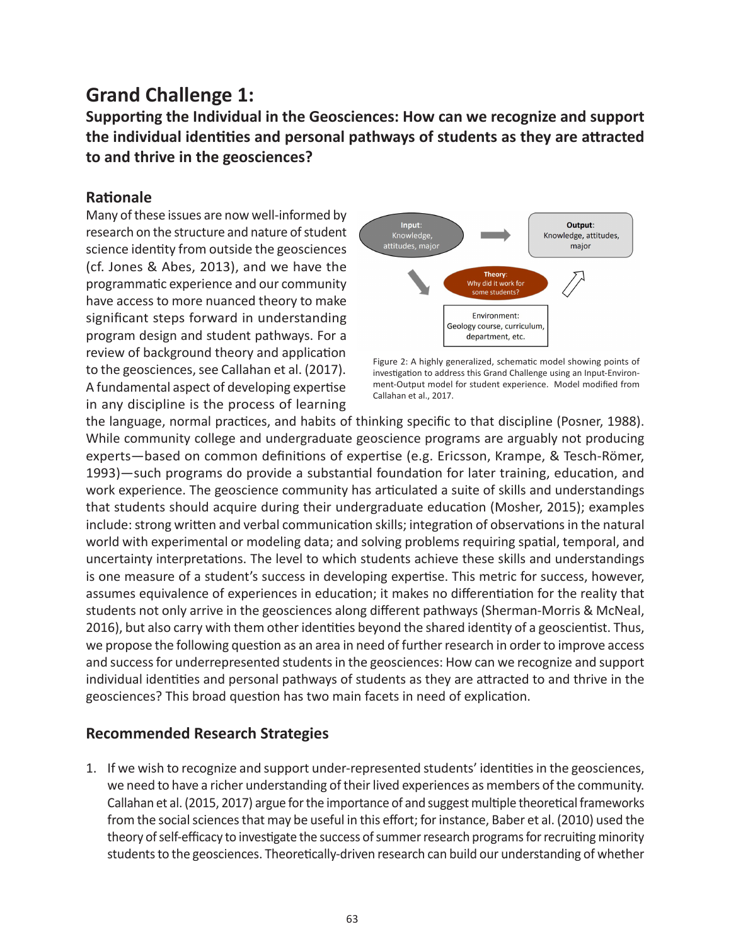## **Grand Challenge 1:**

**Supporting the Individual in the Geosciences: How can we recognize and support the individual identities and personal pathways of students as they are attracted to and thrive in the geosciences?**

### **Rationale**

Many of these issues are now well-informed by research on the structure and nature of student science identity from outside the geosciences (cf. Jones & Abes, 2013), and we have the programmatic experience and our community have access to more nuanced theory to make significant steps forward in understanding program design and student pathways. For a review of background theory and application to the geosciences, see Callahan et al. (2017). A fundamental aspect of developing expertise in any discipline is the process of learning



Figure 2: A highly generalized, schematic model showing points of investigation to address this Grand Challenge using an Input-Environment-Output model for student experience. Model modified from Callahan et al., 2017.

the language, normal practices, and habits of thinking specific to that discipline (Posner, 1988). While community college and undergraduate geoscience programs are arguably not producing experts—based on common definitions of expertise (e.g. Ericsson, Krampe, & Tesch-Römer, 1993)—such programs do provide a substantial foundation for later training, education, and work experience. The geoscience community has articulated a suite of skills and understandings that students should acquire during their undergraduate education (Mosher, 2015); examples include: strong written and verbal communication skills; integration of observations in the natural world with experimental or modeling data; and solving problems requiring spatial, temporal, and uncertainty interpretations. The level to which students achieve these skills and understandings is one measure of a student's success in developing expertise. This metric for success, however, assumes equivalence of experiences in education; it makes no differentiation for the reality that students not only arrive in the geosciences along different pathways (Sherman-Morris & McNeal, 2016), but also carry with them other identities beyond the shared identity of a geoscientist. Thus, we propose the following question as an area in need of further research in order to improve access and success for underrepresented students in the geosciences: How can we recognize and support individual identities and personal pathways of students as they are attracted to and thrive in the geosciences? This broad question has two main facets in need of explication.

### **Recommended Research Strategies**

1. If we wish to recognize and support under-represented students' identities in the geosciences, we need to have a richer understanding of their lived experiences as members of the community. Callahan et al. (2015, 2017) argue for the importance of and suggest multiple theoretical frameworks from the social sciences that may be useful in this effort; for instance, Baber et al. (2010) used the theory of self-efficacy to investigate the success of summer research programs for recruiting minority students to the geosciences. Theoretically-driven research can build our understanding of whether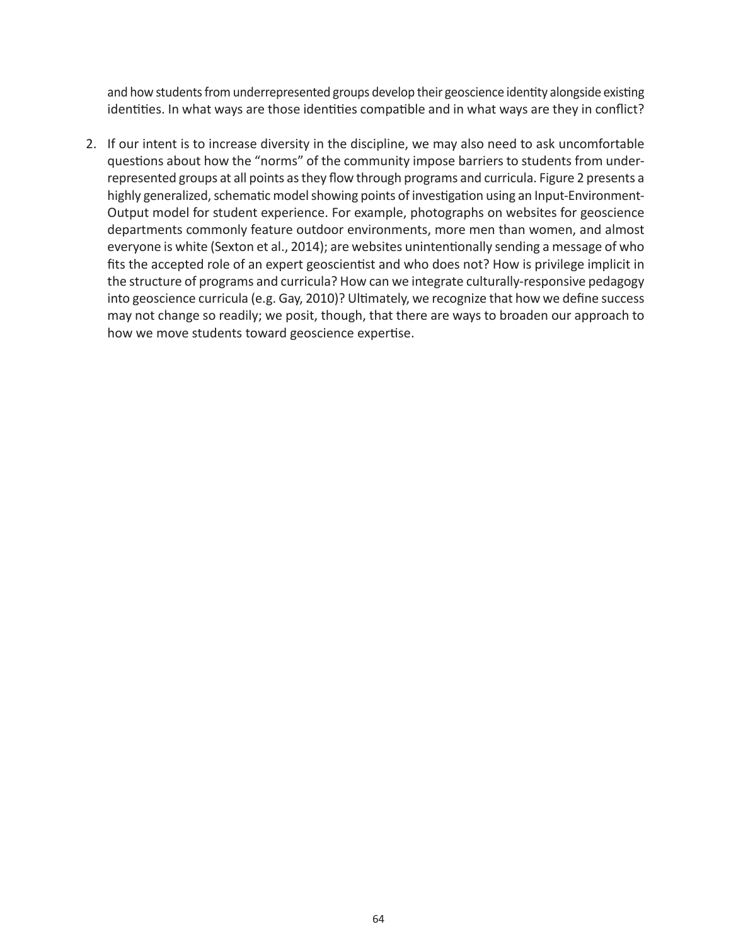and how students from underrepresented groups develop their geoscience identity alongside existing identities. In what ways are those identities compatible and in what ways are they in conflict?

2. If our intent is to increase diversity in the discipline, we may also need to ask uncomfortable questions about how the "norms" of the community impose barriers to students from underrepresented groups at all points as they flow through programs and curricula. Figure 2 presents a highly generalized, schematic model showing points of investigation using an Input-Environment-Output model for student experience. For example, photographs on websites for geoscience departments commonly feature outdoor environments, more men than women, and almost everyone is white (Sexton et al., 2014); are websites unintentionally sending a message of who fits the accepted role of an expert geoscientist and who does not? How is privilege implicit in the structure of programs and curricula? How can we integrate culturally-responsive pedagogy into geoscience curricula (e.g. Gay, 2010)? Ultimately, we recognize that how we define success may not change so readily; we posit, though, that there are ways to broaden our approach to how we move students toward geoscience expertise.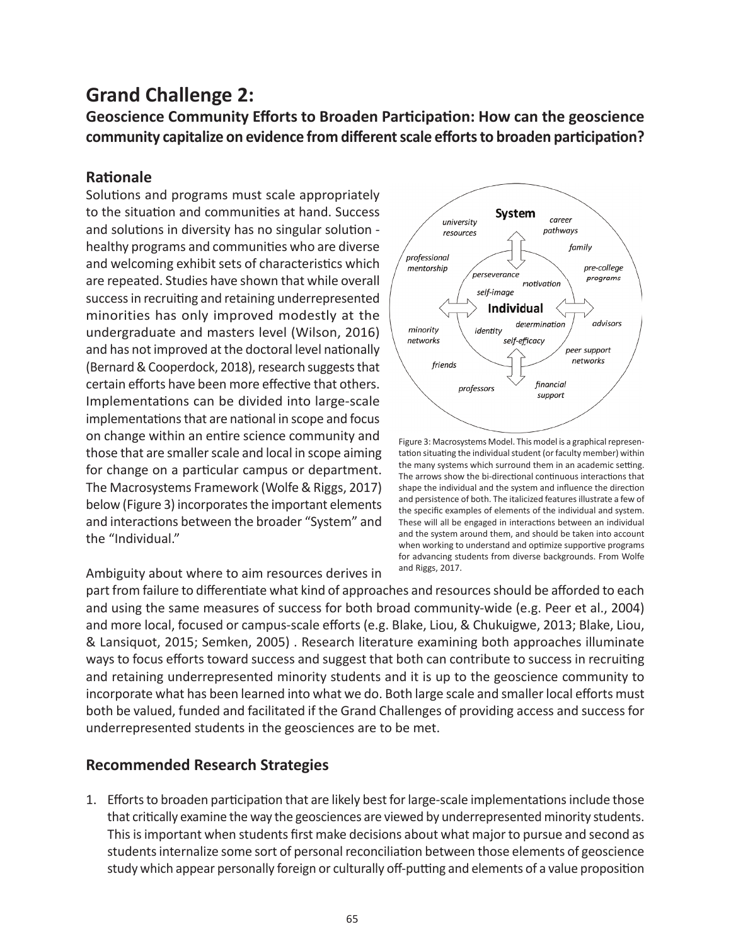### **Grand Challenge 2:**

**Geoscience Community Efforts to Broaden Participation: How can the geoscience community capitalize on evidence from different scale efforts to broaden participation?**

### **Rationale**

Solutions and programs must scale appropriately to the situation and communities at hand. Success and solutions in diversity has no singular solution healthy programs and communities who are diverse and welcoming exhibit sets of characteristics which are repeated. Studies have shown that while overall success in recruiting and retaining underrepresented minorities has only improved modestly at the undergraduate and masters level (Wilson, 2016) and has not improved at the doctoral level nationally (Bernard & Cooperdock, 2018), research suggests that certain efforts have been more effective that others. Implementations can be divided into large-scale implementations that are national in scope and focus on change within an entire science community and those that are smaller scale and local in scope aiming for change on a particular campus or department. The Macrosystems Framework (Wolfe & Riggs, 2017) below (Figure 3) incorporates the important elements and interactions between the broader "System" and the "Individual."

Ambiguity about where to aim resources derives in



Figure 3: Macrosystems Model. This model is a graphical representation situating the individual student (or faculty member) within the many systems which surround them in an academic setting. The arrows show the bi-directional continuous interactions that shape the individual and the system and influence the direction and persistence of both. The italicized features illustrate a few of the specific examples of elements of the individual and system. These will all be engaged in interactions between an individual and the system around them, and should be taken into account when working to understand and optimize supportive programs for advancing students from diverse backgrounds. From Wolfe and Riggs, 2017.

part from failure to differentiate what kind of approaches and resources should be afforded to each and using the same measures of success for both broad community-wide (e.g. Peer et al., 2004) and more local, focused or campus-scale efforts (e.g. Blake, Liou, & Chukuigwe, 2013; Blake, Liou, & Lansiquot, 2015; Semken, 2005) . Research literature examining both approaches illuminate ways to focus efforts toward success and suggest that both can contribute to success in recruiting and retaining underrepresented minority students and it is up to the geoscience community to incorporate what has been learned into what we do. Both large scale and smaller local efforts must both be valued, funded and facilitated if the Grand Challenges of providing access and success for underrepresented students in the geosciences are to be met.

### **Recommended Research Strategies**

1. Efforts to broaden participation that are likely best for large-scale implementations include those that critically examine the way the geosciences are viewed by underrepresented minority students. This is important when students first make decisions about what major to pursue and second as students internalize some sort of personal reconciliation between those elements of geoscience study which appear personally foreign or culturally off-putting and elements of a value proposition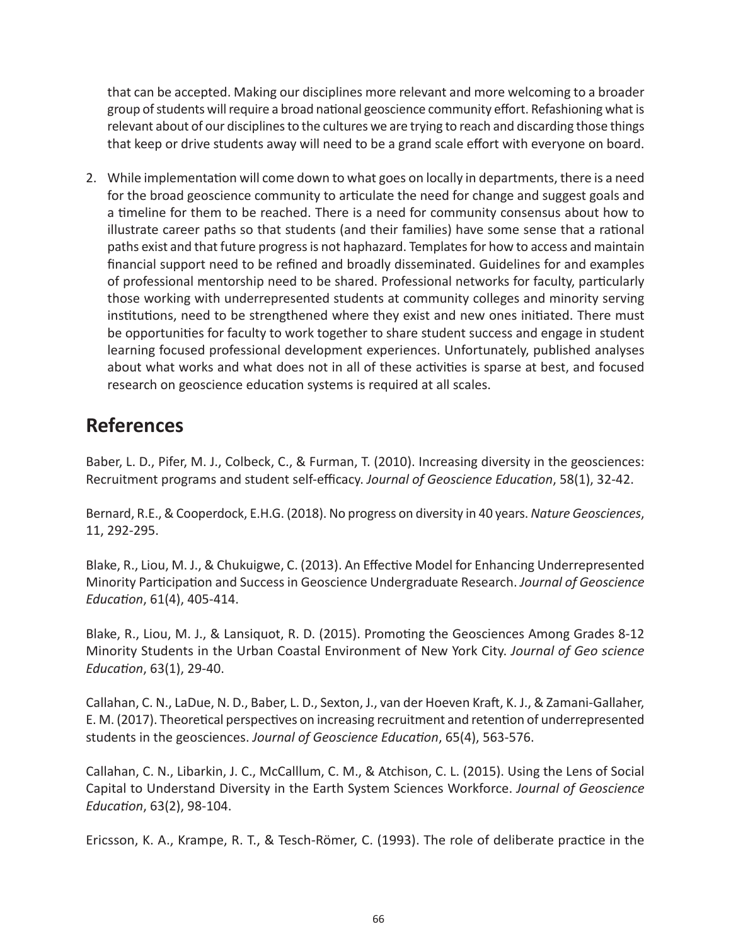that can be accepted. Making our disciplines more relevant and more welcoming to a broader group of students will require a broad national geoscience community effort. Refashioning what is relevant about of our disciplines to the cultures we are trying to reach and discarding those things that keep or drive students away will need to be a grand scale effort with everyone on board.

2. While implementation will come down to what goes on locally in departments, there is a need for the broad geoscience community to articulate the need for change and suggest goals and a timeline for them to be reached. There is a need for community consensus about how to illustrate career paths so that students (and their families) have some sense that a rational paths exist and that future progress is not haphazard. Templates for how to access and maintain financial support need to be refined and broadly disseminated. Guidelines for and examples of professional mentorship need to be shared. Professional networks for faculty, particularly those working with underrepresented students at community colleges and minority serving institutions, need to be strengthened where they exist and new ones initiated. There must be opportunities for faculty to work together to share student success and engage in student learning focused professional development experiences. Unfortunately, published analyses about what works and what does not in all of these activities is sparse at best, and focused research on geoscience education systems is required at all scales.

### **References**

Baber, L. D., Pifer, M. J., Colbeck, C., & Furman, T. (2010). Increasing diversity in the geosciences: Recruitment programs and student self-efficacy. *Journal of Geoscience Education*, 58(1), 32-42.

Bernard, R.E., & Cooperdock, E.H.G. (2018). No progress on diversity in 40 years. *Nature Geosciences*, 11, 292-295.

Blake, R., Liou, M. J., & Chukuigwe, C. (2013). An Effective Model for Enhancing Underrepresented Minority Participation and Success in Geoscience Undergraduate Research. *Journal of Geoscience Education*, 61(4), 405-414.

Blake, R., Liou, M. J., & Lansiquot, R. D. (2015). Promoting the Geosciences Among Grades 8-12 Minority Students in the Urban Coastal Environment of New York City. *Journal of Geo science Education*, 63(1), 29-40.

Callahan, C. N., LaDue, N. D., Baber, L. D., Sexton, J., van der Hoeven Kraft, K. J., & Zamani-Gallaher, E. M. (2017). Theoretical perspectives on increasing recruitment and retention of underrepresented students in the geosciences. *Journal of Geoscience Education*, 65(4), 563-576.

Callahan, C. N., Libarkin, J. C., McCalllum, C. M., & Atchison, C. L. (2015). Using the Lens of Social Capital to Understand Diversity in the Earth System Sciences Workforce. *Journal of Geoscience Education*, 63(2), 98-104.

Ericsson, K. A., Krampe, R. T., & Tesch-Römer, C. (1993). The role of deliberate practice in the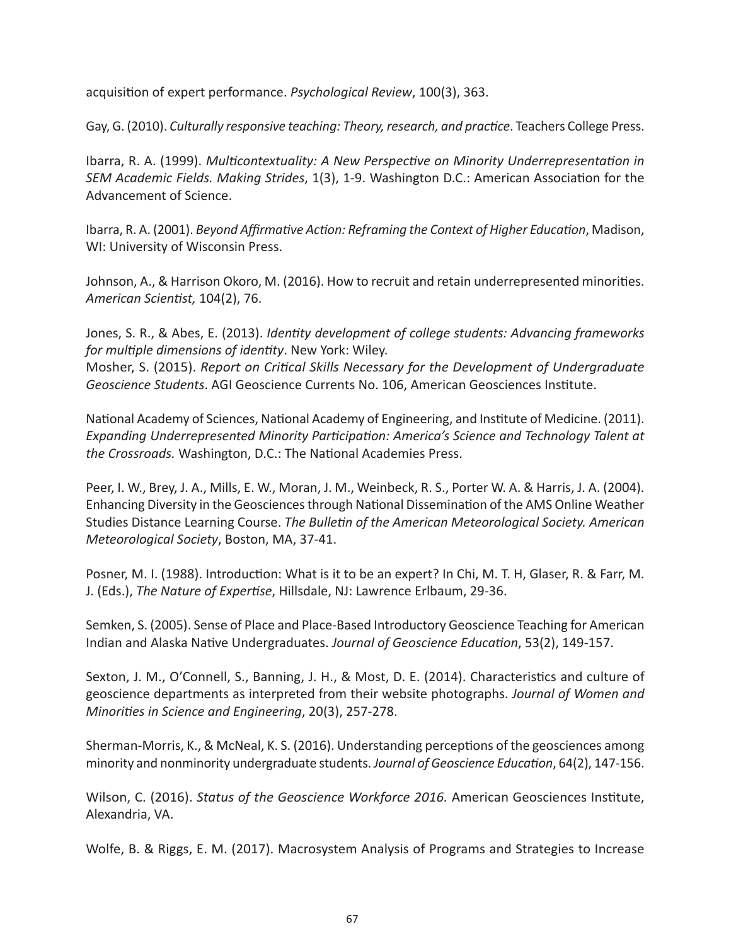acquisition of expert performance. *Psychological Review*, 100(3), 363.

Gay, G. (2010). *Culturally responsive teaching: Theory, research, and practice*. Teachers College Press.

Ibarra, R. A. (1999). *Multicontextuality: A New Perspective on Minority Underrepresentation in SEM Academic Fields. Making Strides*, 1(3), 1-9. Washington D.C.: American Association for the Advancement of Science.

Ibarra, R. A. (2001). *Beyond Affirmative Action: Reframing the Context of Higher Education*, Madison, WI: University of Wisconsin Press.

Johnson, A., & Harrison Okoro, M. (2016). How to recruit and retain underrepresented minorities. *American Scientist,* 104(2), 76.

Jones, S. R., & Abes, E. (2013). *Identity development of college students: Advancing frameworks for multiple dimensions of identity*. New York: Wiley. Mosher, S. (2015). *Report on Critical Skills Necessary for the Development of Undergraduate Geoscience Students*. AGI Geoscience Currents No. 106, American Geosciences Institute.

National Academy of Sciences, National Academy of Engineering, and Institute of Medicine. (2011). *Expanding Underrepresented Minority Participation: America's Science and Technology Talent at the Crossroads.* Washington, D.C.: The National Academies Press.

Peer, I. W., Brey, J. A., Mills, E. W., Moran, J. M., Weinbeck, R. S., Porter W. A. & Harris, J. A. (2004). Enhancing Diversity in the Geosciences through National Dissemination of the AMS Online Weather Studies Distance Learning Course. *The Bulletin of the American Meteorological Society. American Meteorological Society*, Boston, MA, 37-41.

Posner, M. I. (1988). Introduction: What is it to be an expert? In Chi, M. T. H, Glaser, R. & Farr, M. J. (Eds.), *The Nature of Expertise*, Hillsdale, NJ: Lawrence Erlbaum, 29-36.

Semken, S. (2005). Sense of Place and Place-Based Introductory Geoscience Teaching for American Indian and Alaska Native Undergraduates. *Journal of Geoscience Education*, 53(2), 149-157.

Sexton, J. M., O'Connell, S., Banning, J. H., & Most, D. E. (2014). Characteristics and culture of geoscience departments as interpreted from their website photographs. *Journal of Women and Minorities in Science and Engineering*, 20(3), 257-278.

Sherman-Morris, K., & McNeal, K. S. (2016). Understanding perceptions of the geosciences among minority and nonminority undergraduate students. *Journal of Geoscience Education*, 64(2), 147-156.

Wilson, C. (2016). *Status of the Geoscience Workforce 2016.* American Geosciences Institute, Alexandria, VA.

Wolfe, B. & Riggs, E. M. (2017). Macrosystem Analysis of Programs and Strategies to Increase